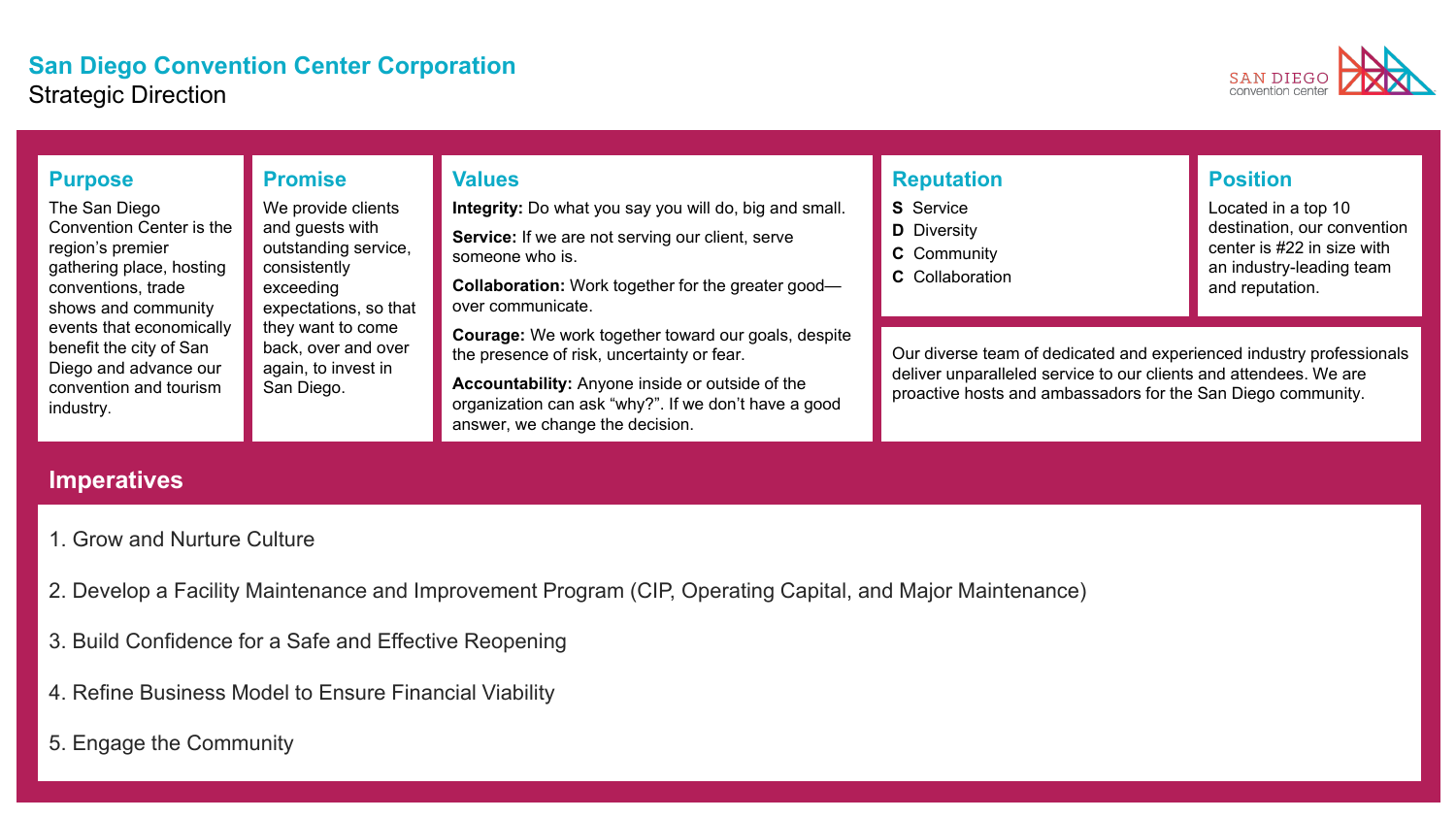#### **San Diego Convention Center Corporation** Strategic Direction



| <b>Purpose</b><br>The San Diego<br>Convention Center is the<br>region's premier<br>gathering place, hosting<br>conventions, trade<br>shows and community<br>events that economically<br>benefit the city of San<br>Diego and advance our<br>convention and tourism<br>industry. | <b>Promise</b><br>We provide clients<br>and guests with<br>outstanding service,<br>consistently<br>exceeding<br>expectations, so that<br>they want to come<br>back, over and over<br>again, to invest in<br>San Diego. | <b>Values</b><br>Integrity: Do what you say you will do, big and small.<br>Service: If we are not serving our client, serve<br>someone who is.<br>Collaboration: Work together for the greater good-<br>over communicate.                              | <b>Reputation</b><br><b>S</b> Service<br><b>D</b> Diversity<br><b>C</b> Community<br><b>C</b> Collaboration                                                                                               | <b>Position</b><br>Located in a top 10<br>destination, our convention<br>center is #22 in size with<br>an industry-leading team<br>and reputation. |
|---------------------------------------------------------------------------------------------------------------------------------------------------------------------------------------------------------------------------------------------------------------------------------|------------------------------------------------------------------------------------------------------------------------------------------------------------------------------------------------------------------------|--------------------------------------------------------------------------------------------------------------------------------------------------------------------------------------------------------------------------------------------------------|-----------------------------------------------------------------------------------------------------------------------------------------------------------------------------------------------------------|----------------------------------------------------------------------------------------------------------------------------------------------------|
|                                                                                                                                                                                                                                                                                 |                                                                                                                                                                                                                        | <b>Courage:</b> We work together toward our goals, despite<br>the presence of risk, uncertainty or fear.<br>Accountability: Anyone inside or outside of the<br>organization can ask "why?". If we don't have a good<br>answer, we change the decision. | Our diverse team of dedicated and experienced industry professionals<br>deliver unparalleled service to our clients and attendees. We are<br>proactive hosts and ambassadors for the San Diego community. |                                                                                                                                                    |

### **Imperatives**

- 1. Grow and Nurture Culture
- 2. Develop a Facility Maintenance and Improvement Program (CIP, Operating Capital, and Major Maintenance)
- 3. Build Confidence for a Safe and Effective Reopening
- 4. Refine Business Model to Ensure Financial Viability
- 5. Engage the Community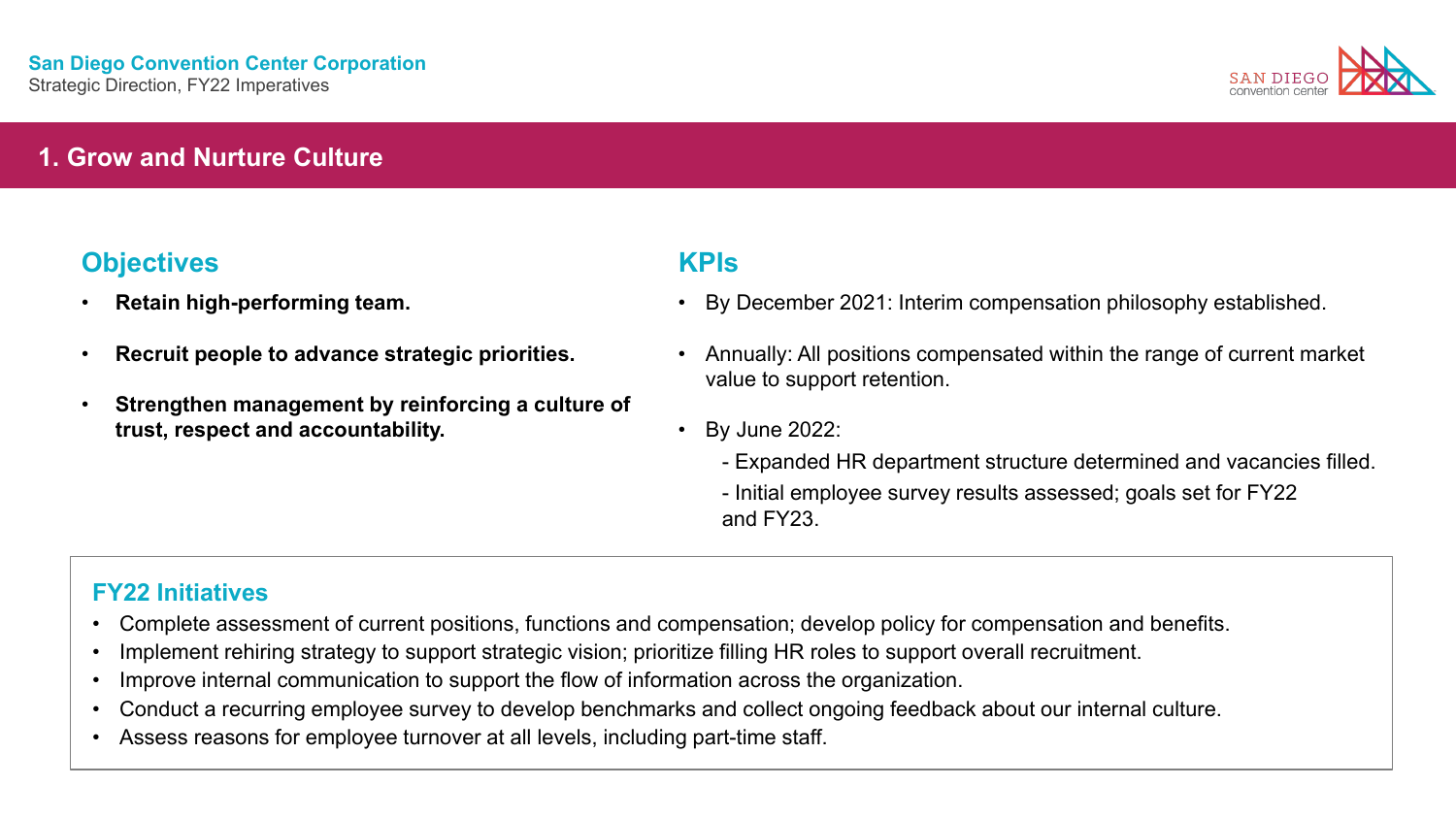

### **1. Grow and Nurture Culture**

## **Objectives KPIs**

- **Retain high-performing team.**
- **Recruit people to advance strategic priorities.**
- **Strengthen management by reinforcing a culture of trust, respect and accountability.**

- By December 2021: Interim compensation philosophy established.
- Annually: All positions compensated within the range of current market value to support retention.
- By June 2022:
	- Expanded HR department structure determined and vacancies filled.
	- Initial employee survey results assessed; goals set for FY22 and FY23.

- Complete assessment of current positions, functions and compensation; develop policy for compensation and benefits.
- Implement rehiring strategy to support strategic vision; prioritize filling HR roles to support overall recruitment.
- Improve internal communication to support the flow of information across the organization.
- Conduct a recurring employee survey to develop benchmarks and collect ongoing feedback about our internal culture.
- Assess reasons for employee turnover at all levels, including part-time staff.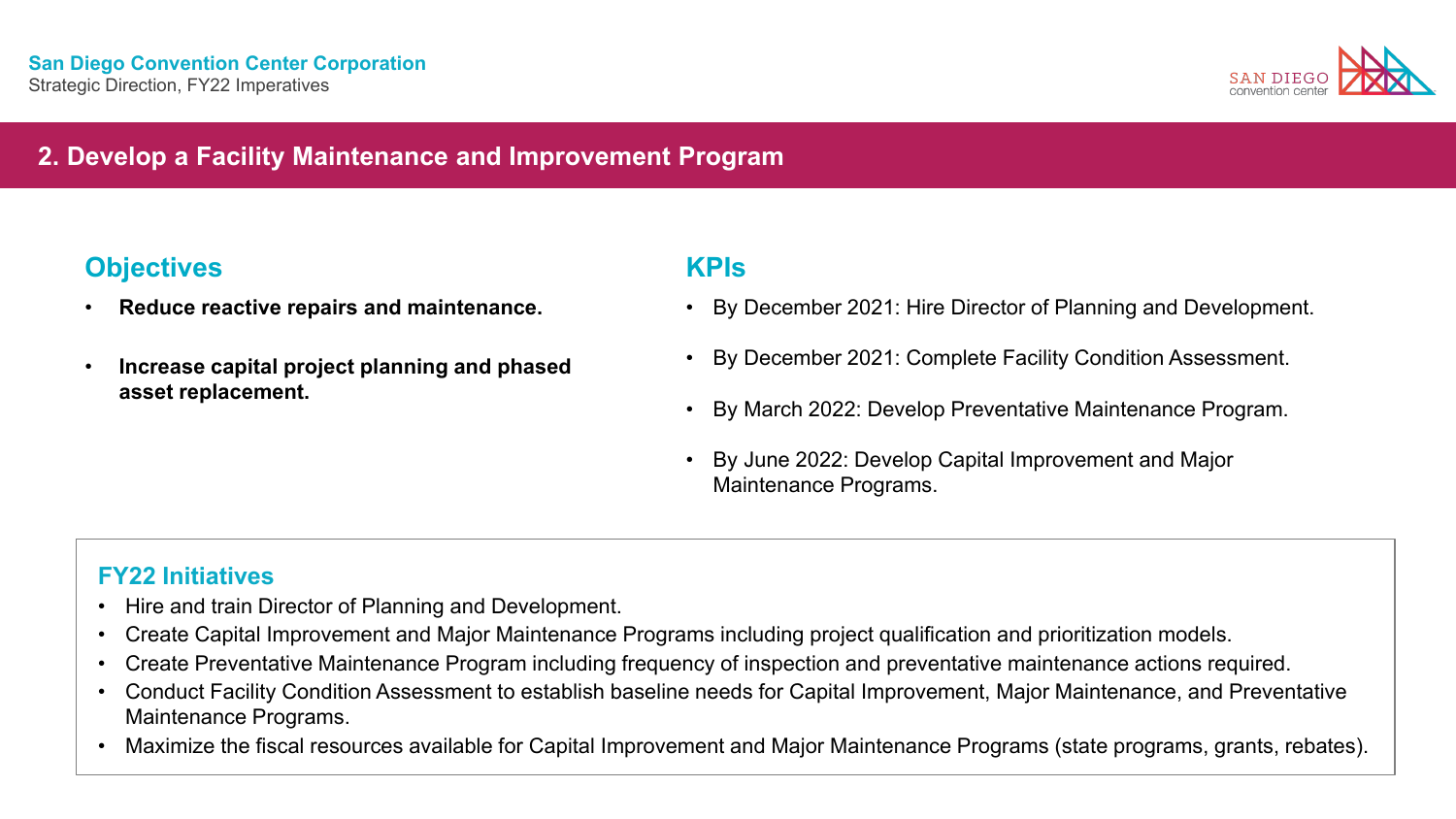

## **2. Develop a Facility Maintenance and Improvement Program**

## **Objectives KPIs**

- 
- **Increase capital project planning and phased asset replacement.**

- **Reduce reactive repairs and maintenance.** By December 2021: Hire Director of Planning and Development.
	- By December 2021: Complete Facility Condition Assessment.
	- By March 2022: Develop Preventative Maintenance Program.
	- By June 2022: Develop Capital Improvement and Major Maintenance Programs.

- Hire and train Director of Planning and Development.
- Create Capital Improvement and Major Maintenance Programs including project qualification and prioritization models.
- Create Preventative Maintenance Program including frequency of inspection and preventative maintenance actions required.
- Conduct Facility Condition Assessment to establish baseline needs for Capital Improvement, Major Maintenance, and Preventative Maintenance Programs.
- Maximize the fiscal resources available for Capital Improvement and Major Maintenance Programs (state programs, grants, rebates).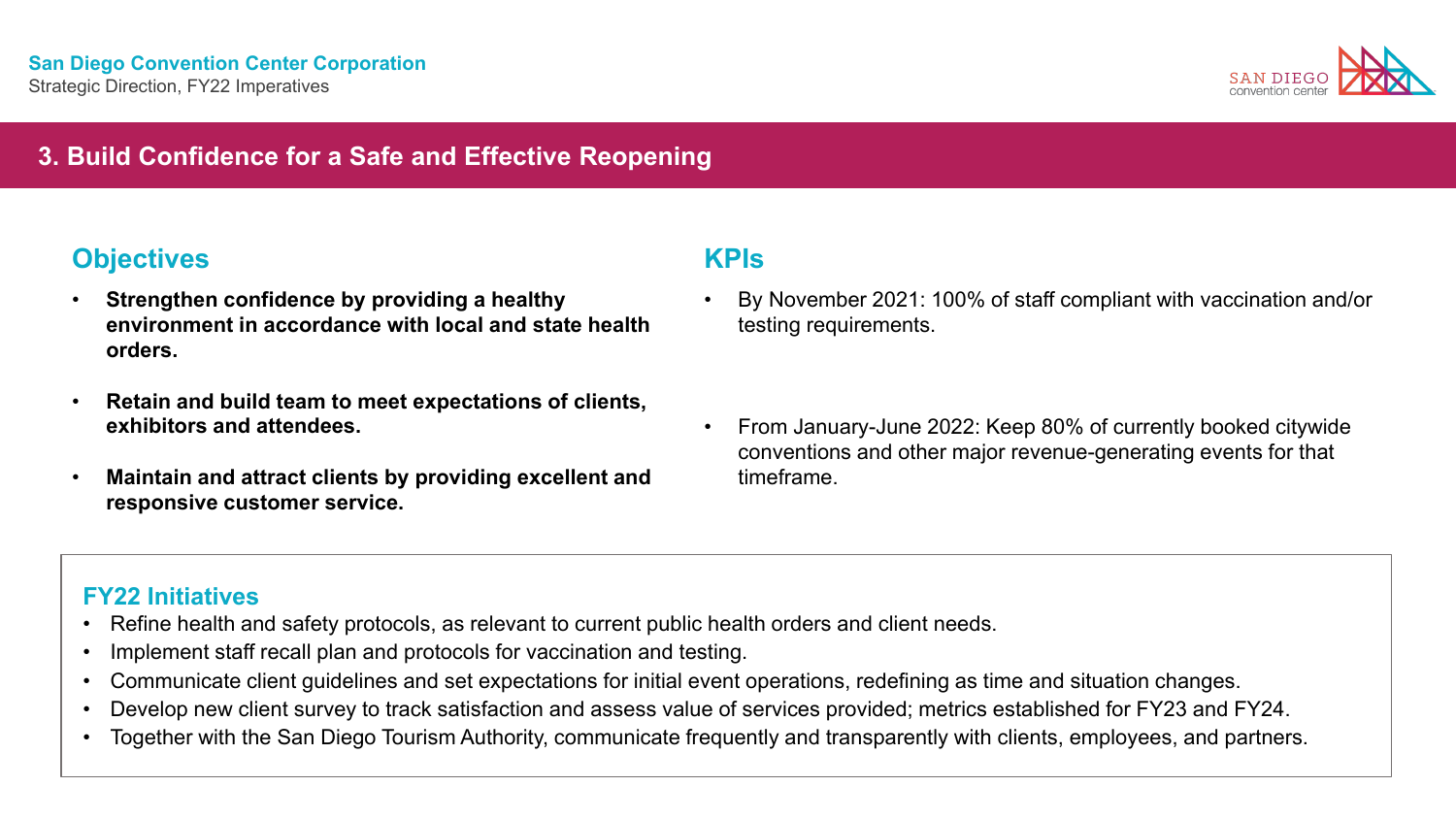

## **3. Build Confidence for a Safe and Effective Reopening**

## **Objectives KPIs**

- **Strengthen confidence by providing a healthy environment in accordance with local and state health orders.**
- **Retain and build team to meet expectations of clients, exhibitors and attendees.**
- **Maintain and attract clients by providing excellent and responsive customer service.**

- By November 2021: 100% of staff compliant with vaccination and/or testing requirements.
- From January-June 2022: Keep 80% of currently booked citywide conventions and other major revenue-generating events for that timeframe.

- Refine health and safety protocols, as relevant to current public health orders and client needs.
- Implement staff recall plan and protocols for vaccination and testing.
- Communicate client guidelines and set expectations for initial event operations, redefining as time and situation changes.
- Develop new client survey to track satisfaction and assess value of services provided; metrics established for FY23 and FY24.
- Together with the San Diego Tourism Authority, communicate frequently and transparently with clients, employees, and partners.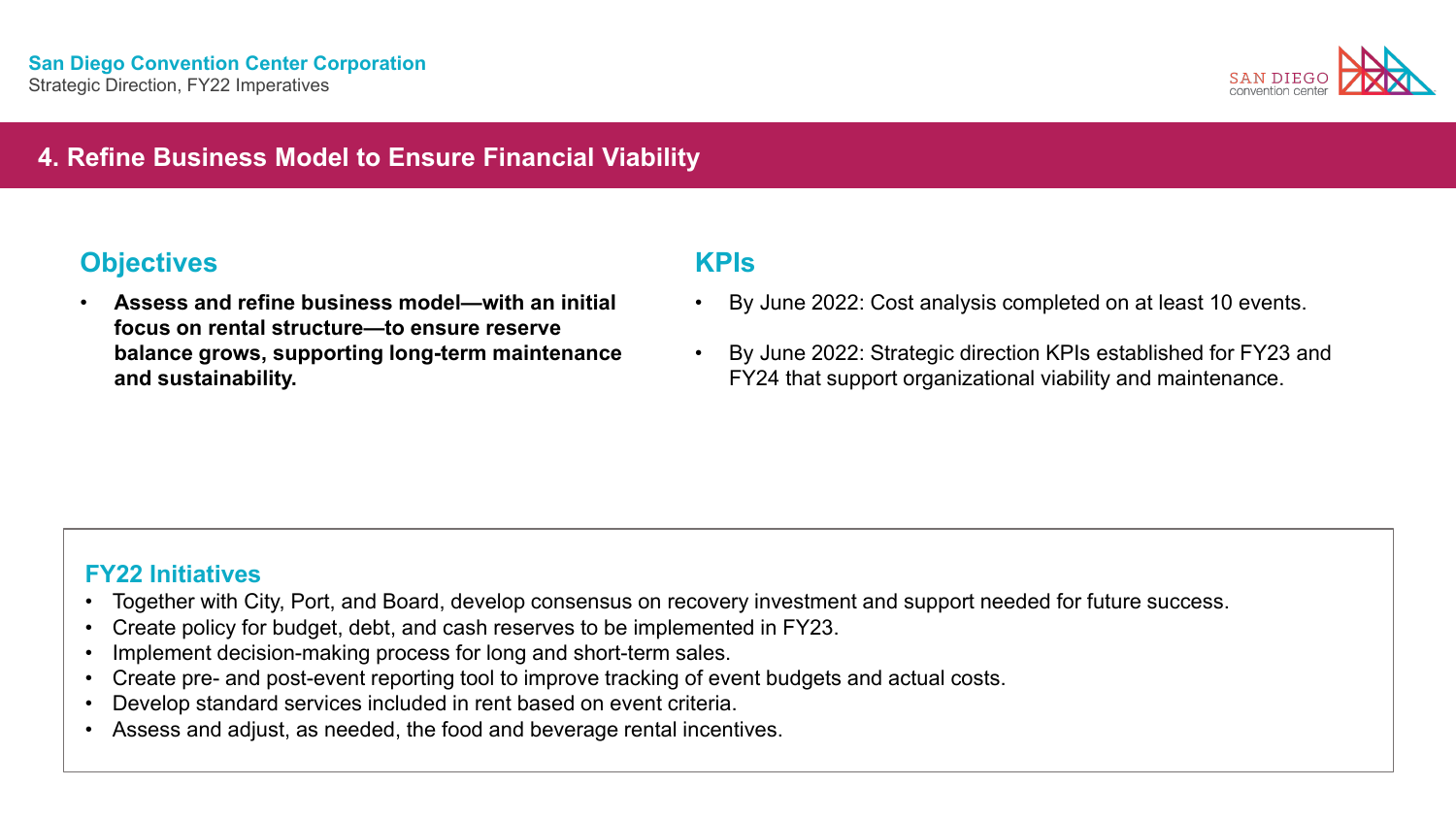

## **4. Refine Business Model to Ensure Financial Viability**

## **Objectives KPIs**

• **Assess and refine business model—with an initial focus on rental structure—to ensure reserve balance grows, supporting long-term maintenance and sustainability.**

- By June 2022: Cost analysis completed on at least 10 events.
- By June 2022: Strategic direction KPIs established for FY23 and FY24 that support organizational viability and maintenance.

- Together with City, Port, and Board, develop consensus on recovery investment and support needed for future success.
- Create policy for budget, debt, and cash reserves to be implemented in FY23.
- Implement decision-making process for long and short-term sales.
- Create pre- and post-event reporting tool to improve tracking of event budgets and actual costs.
- Develop standard services included in rent based on event criteria.
- Assess and adjust, as needed, the food and beverage rental incentives.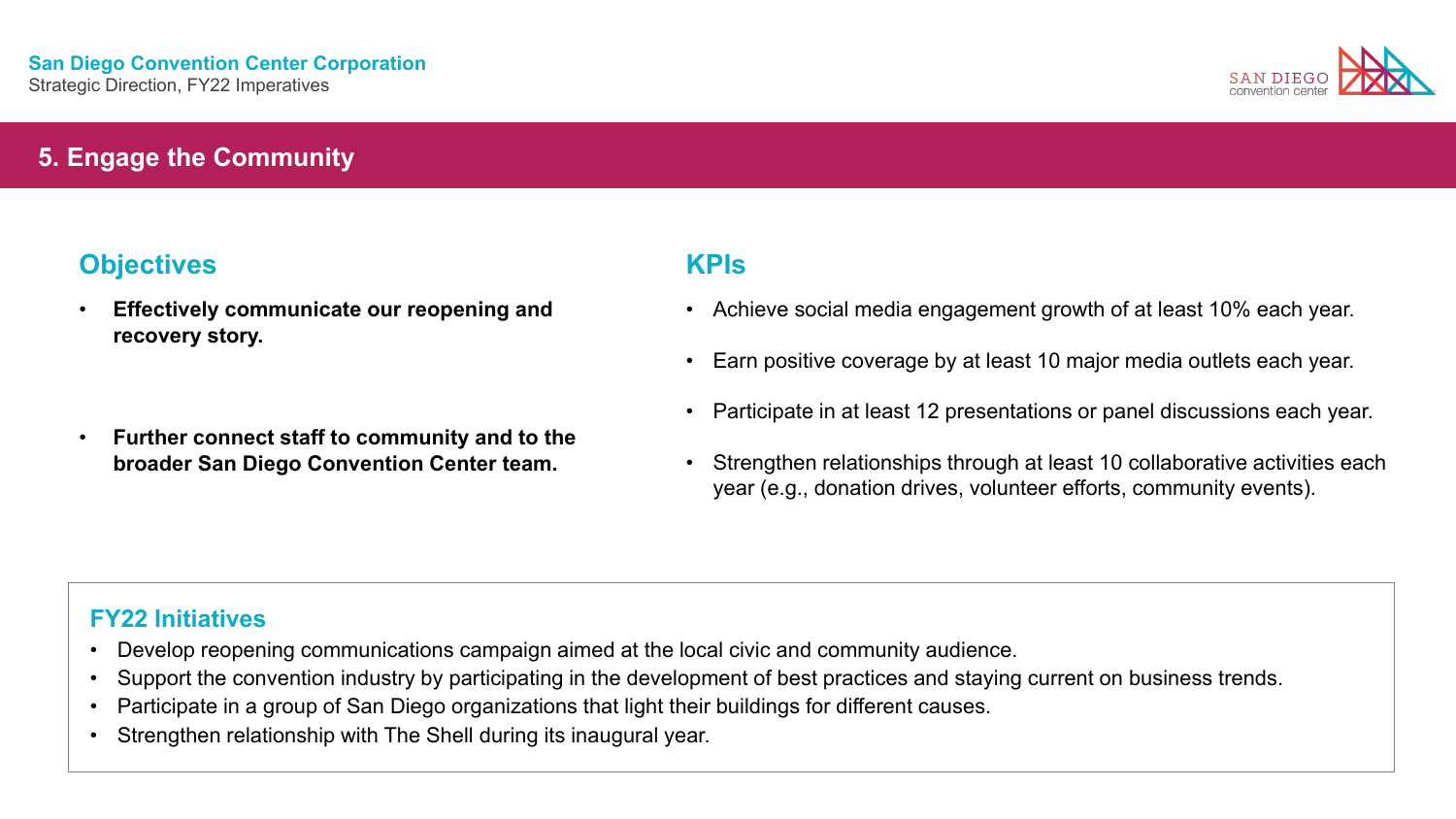

### **5. Engage the Community**

## **Objectives KPIs**

- **Effectively communicate our reopening and recovery story.**
- **Further connect staff to community and to the broader San Diego Convention Center team.**

- Achieve social media engagement growth of at least 10% each year.
- Earn positive coverage by at least 10 major media outlets each year.
- Participate in at least 12 presentations or panel discussions each year.
- Strengthen relationships through at least 10 collaborative activities each year (e.g., donation drives, volunteer efforts, community events).

- Develop reopening communications campaign aimed at the local civic and community audience.
- Support the convention industry by participating in the development of best practices and staying current on business trends.
- Participate in a group of San Diego organizations that light their buildings for different causes.
- Strengthen relationship with The Shell during its inaugural year.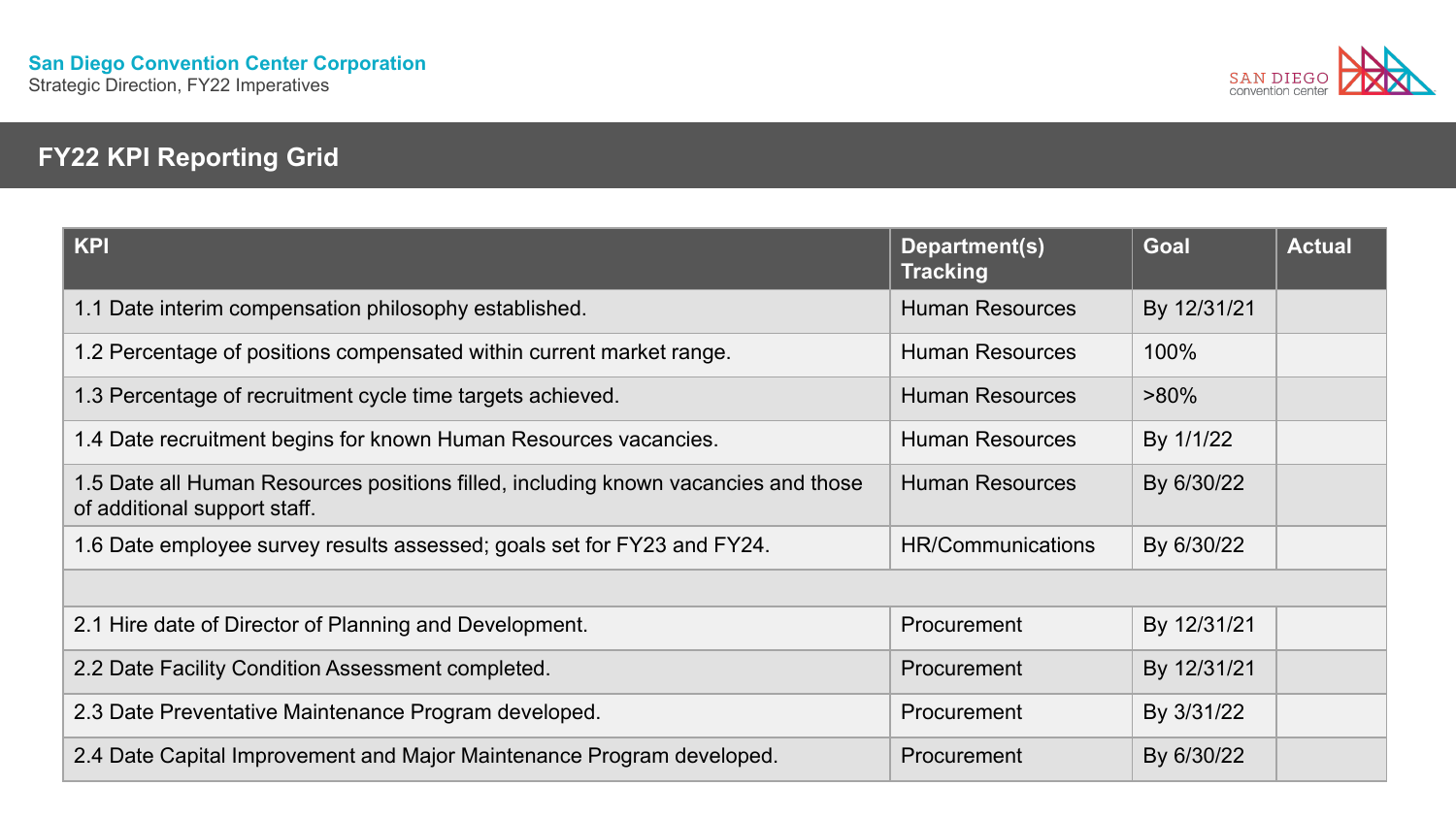

# **FY22 KPI Reporting Grid**

| <b>KPI</b>                                                                                                         | Department(s)<br><b>Tracking</b> | <b>Goal</b> | <b>Actual</b> |
|--------------------------------------------------------------------------------------------------------------------|----------------------------------|-------------|---------------|
| 1.1 Date interim compensation philosophy established.                                                              | <b>Human Resources</b>           | By 12/31/21 |               |
| 1.2 Percentage of positions compensated within current market range.                                               | <b>Human Resources</b>           | 100%        |               |
| 1.3 Percentage of recruitment cycle time targets achieved.                                                         | <b>Human Resources</b>           | $>80\%$     |               |
| 1.4 Date recruitment begins for known Human Resources vacancies.                                                   | <b>Human Resources</b>           | By 1/1/22   |               |
| 1.5 Date all Human Resources positions filled, including known vacancies and those<br>of additional support staff. | <b>Human Resources</b>           | By 6/30/22  |               |
| 1.6 Date employee survey results assessed; goals set for FY23 and FY24.                                            | HR/Communications                | By 6/30/22  |               |
|                                                                                                                    |                                  |             |               |
| 2.1 Hire date of Director of Planning and Development.                                                             | Procurement                      | By 12/31/21 |               |
| 2.2 Date Facility Condition Assessment completed.                                                                  | Procurement                      | By 12/31/21 |               |
| 2.3 Date Preventative Maintenance Program developed.                                                               | Procurement                      | By 3/31/22  |               |
| 2.4 Date Capital Improvement and Major Maintenance Program developed.                                              | Procurement                      | By 6/30/22  |               |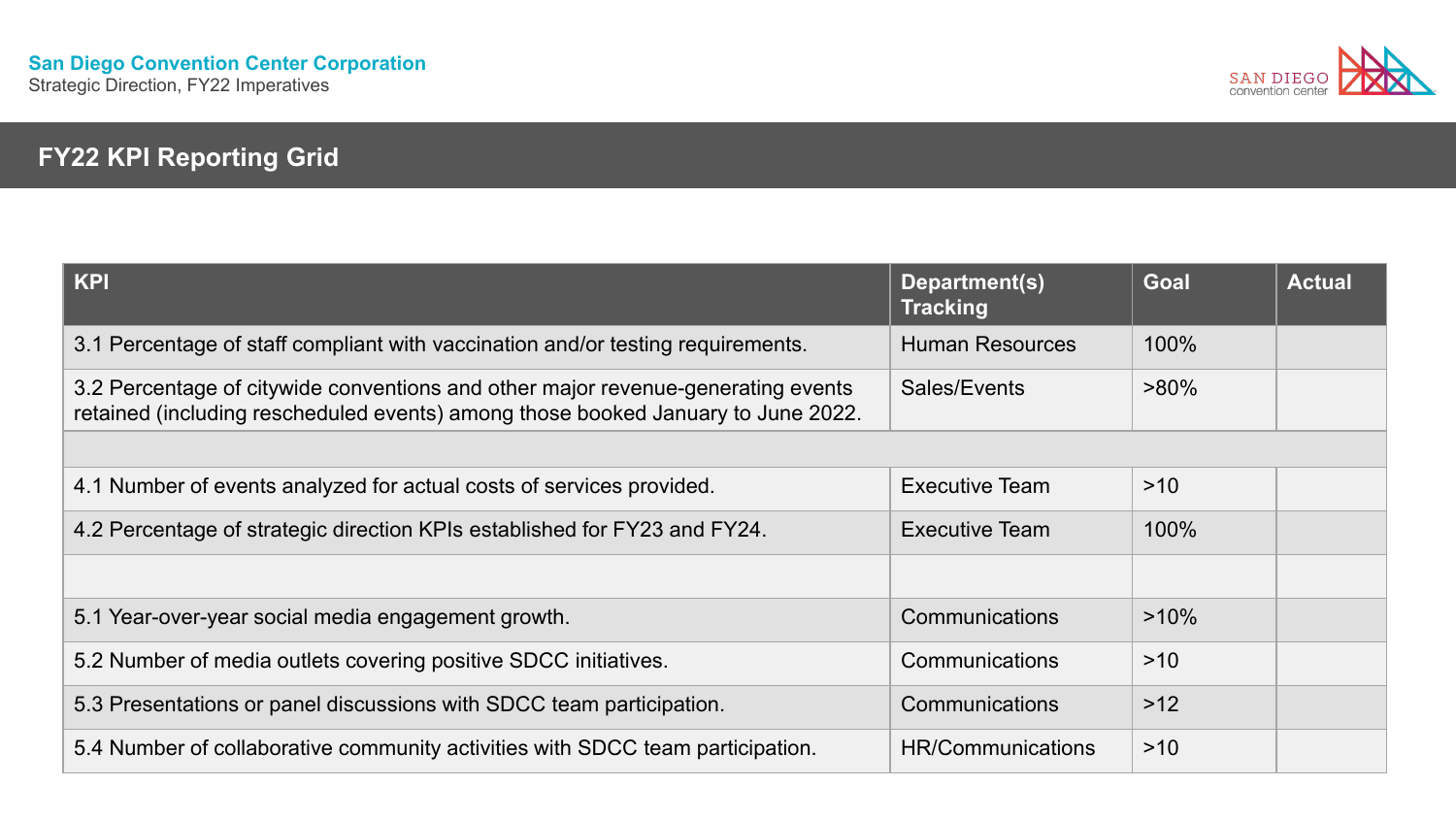

# **FY22 KPI Reporting Grid**

| <b>KPI</b>                                                                                                                                                           | Department(s)<br><b>Tracking</b> | <b>Goal</b> | <b>Actual</b> |
|----------------------------------------------------------------------------------------------------------------------------------------------------------------------|----------------------------------|-------------|---------------|
| 3.1 Percentage of staff compliant with vaccination and/or testing requirements.                                                                                      | <b>Human Resources</b>           | 100%        |               |
| 3.2 Percentage of citywide conventions and other major revenue-generating events<br>retained (including rescheduled events) among those booked January to June 2022. | Sales/Events                     | $>80\%$     |               |
|                                                                                                                                                                      |                                  |             |               |
| 4.1 Number of events analyzed for actual costs of services provided.                                                                                                 | <b>Executive Team</b>            | >10         |               |
| 4.2 Percentage of strategic direction KPIs established for FY23 and FY24.                                                                                            | <b>Executive Team</b>            | 100%        |               |
|                                                                                                                                                                      |                                  |             |               |
| 5.1 Year-over-year social media engagement growth.                                                                                                                   | <b>Communications</b>            | $>10\%$     |               |
| 5.2 Number of media outlets covering positive SDCC initiatives.                                                                                                      | Communications                   | >10         |               |
| 5.3 Presentations or panel discussions with SDCC team participation.                                                                                                 | Communications                   | $>12$       |               |
| 5.4 Number of collaborative community activities with SDCC team participation.                                                                                       | <b>HR/Communications</b>         | $>10$       |               |